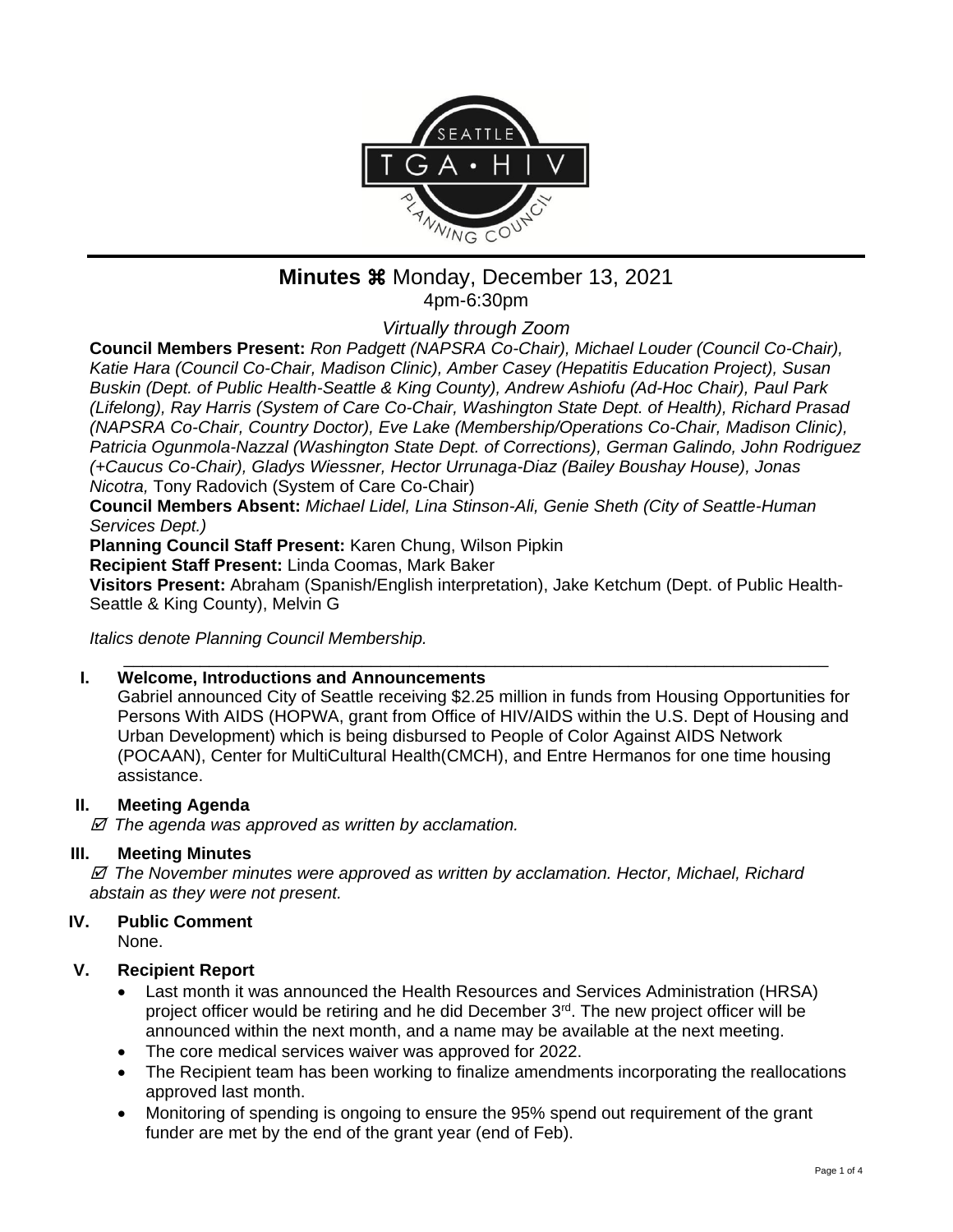

## **Minutes**  $%$  **Monday, December 13, 2021** 4pm-6:30pm

*Virtually through Zoom*

**Council Members Present:** *Ron Padgett (NAPSRA Co-Chair), Michael Louder (Council Co-Chair), Katie Hara (Council Co-Chair, Madison Clinic), Amber Casey (Hepatitis Education Project), Susan Buskin (Dept. of Public Health-Seattle & King County), Andrew Ashiofu (Ad-Hoc Chair), Paul Park (Lifelong), Ray Harris (System of Care Co-Chair, Washington State Dept. of Health), Richard Prasad (NAPSRA Co-Chair, Country Doctor), Eve Lake (Membership/Operations Co-Chair, Madison Clinic), Patricia Ogunmola-Nazzal (Washington State Dept. of Corrections), German Galindo, John Rodriguez (+Caucus Co-Chair), Gladys Wiessner, Hector Urrunaga-Diaz (Bailey Boushay House), Jonas Nicotra,* Tony Radovich (System of Care Co-Chair)

**Council Members Absent:** *Michael Lidel, Lina Stinson-Ali, Genie Sheth (City of Seattle-Human Services Dept.)*

**Planning Council Staff Present:** Karen Chung, Wilson Pipkin

**Recipient Staff Present:** Linda Coomas, Mark Baker

**Visitors Present:** Abraham (Spanish/English interpretation), Jake Ketchum (Dept. of Public Health-Seattle & King County), Melvin G

\_\_\_\_\_\_\_\_\_\_\_\_\_\_\_\_\_\_\_\_\_\_\_\_\_\_\_\_\_\_\_\_\_\_\_\_\_\_\_\_\_\_\_\_\_\_\_\_\_\_\_\_\_\_\_\_\_\_\_\_\_\_\_\_\_\_\_\_\_\_\_\_\_\_

*Italics denote Planning Council Membership.* 

#### **I. Welcome, Introductions and Announcements**

Gabriel announced City of Seattle receiving \$2.25 million in funds from Housing Opportunities for Persons With AIDS (HOPWA, grant from Office of HIV/AIDS within the U.S. Dept of Housing and Urban Development) which is being disbursed to People of Color Against AIDS Network (POCAAN), Center for MultiCultural Health(CMCH), and Entre Hermanos for one time housing assistance.

#### **II. Meeting Agenda**

 *The agenda was approved as written by acclamation.*

#### **III. Meeting Minutes**

 *The November minutes were approved as written by acclamation. Hector, Michael, Richard abstain as they were not present.*

#### **IV. Public Comment**

None.

#### **V. Recipient Report**

- Last month it was announced the Health Resources and Services Administration (HRSA) project officer would be retiring and he did December  $3<sup>rd</sup>$ . The new project officer will be announced within the next month, and a name may be available at the next meeting.
- The core medical services waiver was approved for 2022.
- The Recipient team has been working to finalize amendments incorporating the reallocations approved last month.
- Monitoring of spending is ongoing to ensure the 95% spend out requirement of the grant funder are met by the end of the grant year (end of Feb).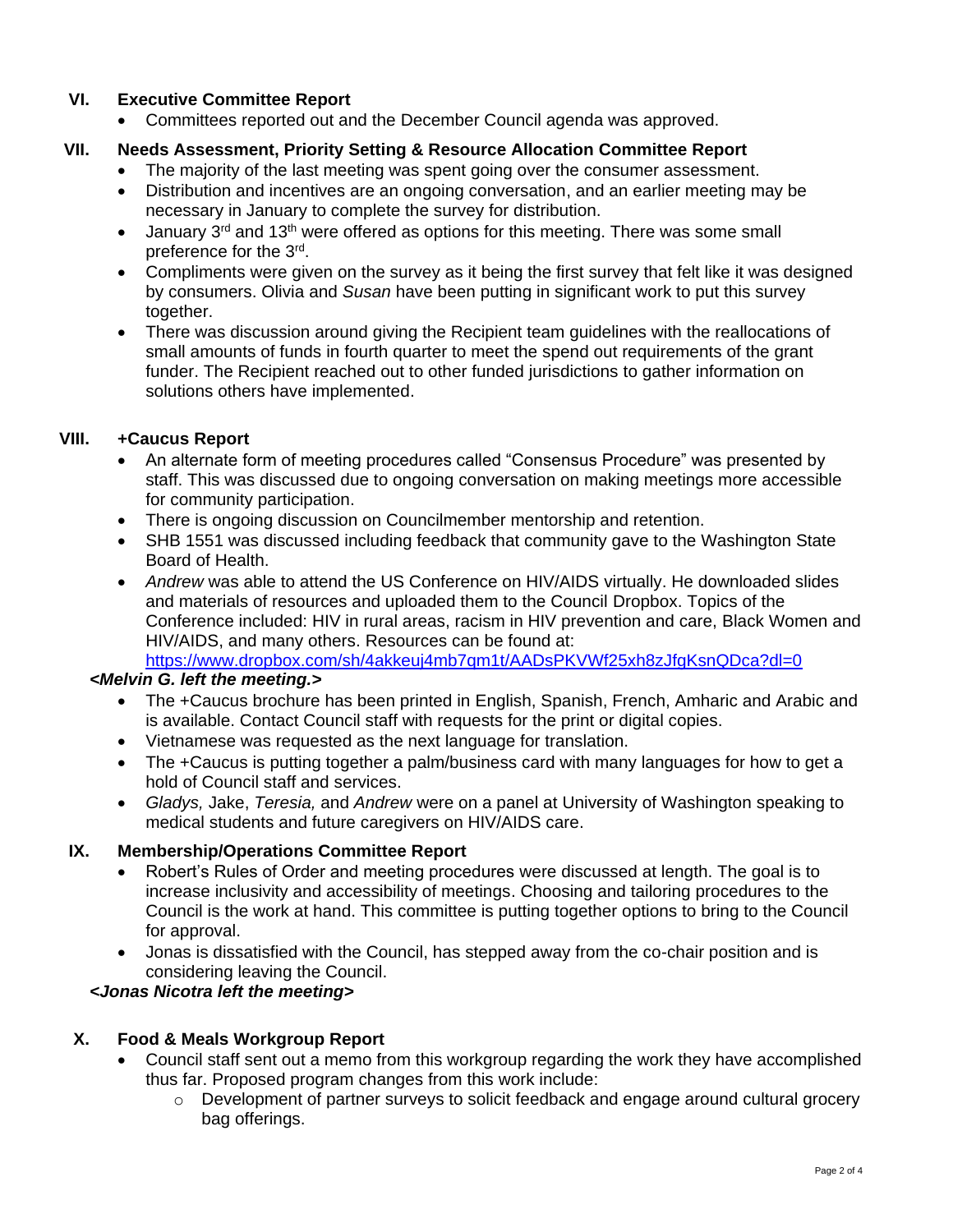## **VI. Executive Committee Report**

• Committees reported out and the December Council agenda was approved.

## **VII. Needs Assessment, Priority Setting & Resource Allocation Committee Report**

- The majority of the last meeting was spent going over the consumer assessment.
- Distribution and incentives are an ongoing conversation, and an earlier meeting may be necessary in January to complete the survey for distribution.
- January  $3^{rd}$  and  $13^{th}$  were offered as options for this meeting. There was some small preference for the 3<sup>rd</sup>.
- Compliments were given on the survey as it being the first survey that felt like it was designed by consumers. Olivia and *Susan* have been putting in significant work to put this survey together.
- There was discussion around giving the Recipient team guidelines with the reallocations of small amounts of funds in fourth quarter to meet the spend out requirements of the grant funder. The Recipient reached out to other funded jurisdictions to gather information on solutions others have implemented.

## **VIII. +Caucus Report**

- An alternate form of meeting procedures called "Consensus Procedure" was presented by staff. This was discussed due to ongoing conversation on making meetings more accessible for community participation.
- There is ongoing discussion on Councilmember mentorship and retention.
- SHB 1551 was discussed including feedback that community gave to the Washington State Board of Health.
- *Andrew* was able to attend the US Conference on HIV/AIDS virtually. He downloaded slides and materials of resources and uploaded them to the Council Dropbox. Topics of the Conference included: HIV in rural areas, racism in HIV prevention and care, Black Women and HIV/AIDS, and many others. Resources can be found at: <https://www.dropbox.com/sh/4akkeuj4mb7qm1t/AADsPKVWf25xh8zJfgKsnQDca?dl=0>

#### *<Melvin G. left the meeting.>*

- The +Caucus brochure has been printed in English, Spanish, French, Amharic and Arabic and is available. Contact Council staff with requests for the print or digital copies.
- Vietnamese was requested as the next language for translation.
- The +Caucus is putting together a palm/business card with many languages for how to get a hold of Council staff and services.
- *Gladys,* Jake, *Teresia,* and *Andrew* were on a panel at University of Washington speaking to medical students and future caregivers on HIV/AIDS care.

#### **IX. Membership/Operations Committee Report**

- Robert's Rules of Order and meeting procedures were discussed at length. The goal is to increase inclusivity and accessibility of meetings. Choosing and tailoring procedures to the Council is the work at hand. This committee is putting together options to bring to the Council for approval.
- Jonas is dissatisfied with the Council, has stepped away from the co-chair position and is considering leaving the Council.

*<Jonas Nicotra left the meeting>*

## **X. Food & Meals Workgroup Report**

- Council staff sent out a memo from this workgroup regarding the work they have accomplished thus far. Proposed program changes from this work include:
	- $\circ$  Development of partner surveys to solicit feedback and engage around cultural grocery bag offerings.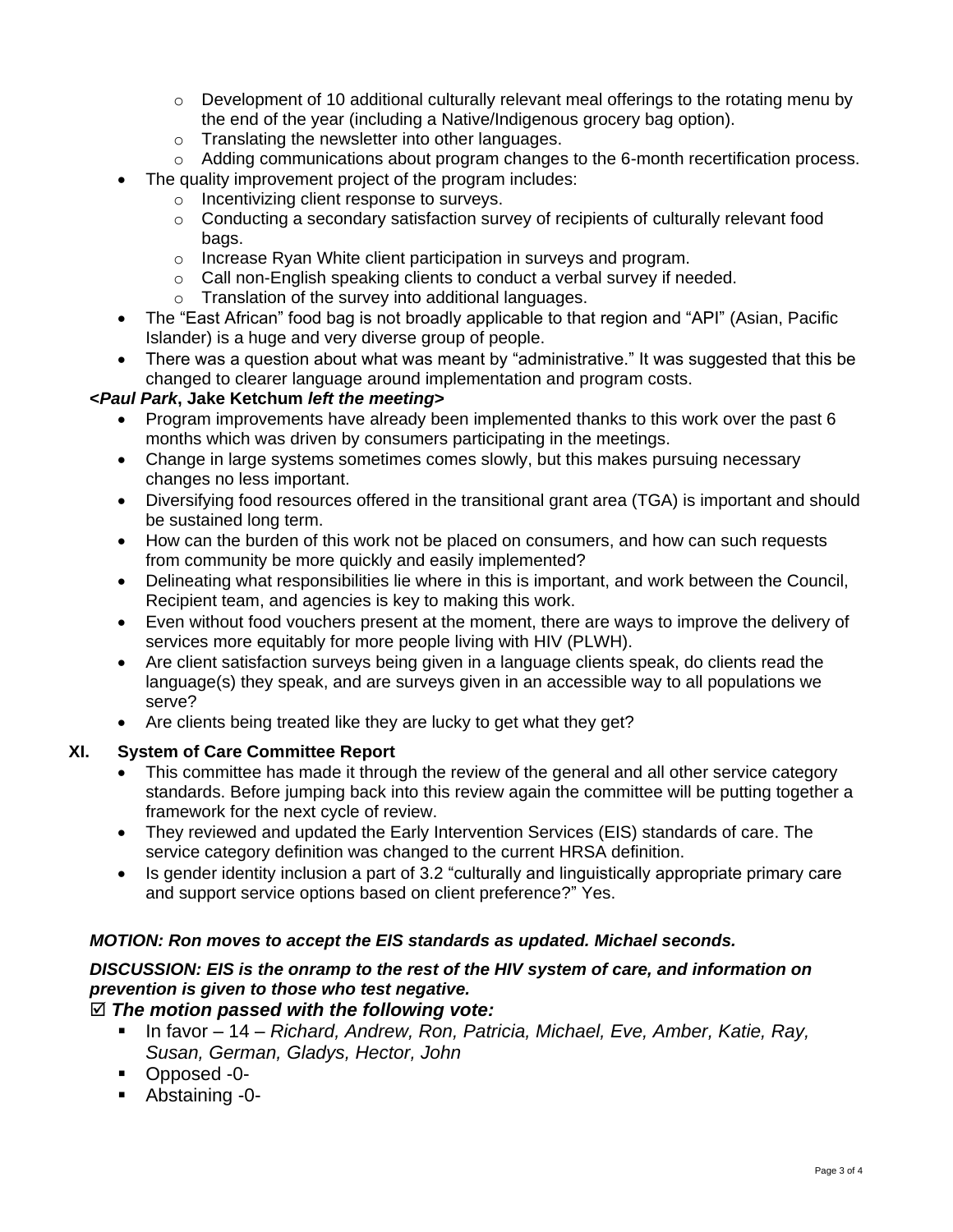- $\circ$  Development of 10 additional culturally relevant meal offerings to the rotating menu by the end of the year (including a Native/Indigenous grocery bag option).
- o Translating the newsletter into other languages.
- $\circ$  Adding communications about program changes to the 6-month recertification process.
- The quality improvement project of the program includes:
	- o Incentivizing client response to surveys.
	- $\circ$  Conducting a secondary satisfaction survey of recipients of culturally relevant food bags.
	- o Increase Ryan White client participation in surveys and program.
	- o Call non-English speaking clients to conduct a verbal survey if needed.
	- o Translation of the survey into additional languages.
- The "East African" food bag is not broadly applicable to that region and "API" (Asian, Pacific Islander) is a huge and very diverse group of people.
- There was a question about what was meant by "administrative." It was suggested that this be changed to clearer language around implementation and program costs.

## **<***Paul Park***, Jake Ketchum** *left the meeting***>**

- Program improvements have already been implemented thanks to this work over the past 6 months which was driven by consumers participating in the meetings.
- Change in large systems sometimes comes slowly, but this makes pursuing necessary changes no less important.
- Diversifying food resources offered in the transitional grant area (TGA) is important and should be sustained long term.
- How can the burden of this work not be placed on consumers, and how can such requests from community be more quickly and easily implemented?
- Delineating what responsibilities lie where in this is important, and work between the Council, Recipient team, and agencies is key to making this work.
- Even without food vouchers present at the moment, there are ways to improve the delivery of services more equitably for more people living with HIV (PLWH).
- Are client satisfaction surveys being given in a language clients speak, do clients read the language(s) they speak, and are surveys given in an accessible way to all populations we serve?
- Are clients being treated like they are lucky to get what they get?

#### **XI. System of Care Committee Report**

- This committee has made it through the review of the general and all other service category standards. Before jumping back into this review again the committee will be putting together a framework for the next cycle of review.
- They reviewed and updated the Early Intervention Services (EIS) standards of care. The service category definition was changed to the current HRSA definition.
- Is gender identity inclusion a part of 3.2 "culturally and linguistically appropriate primary care and support service options based on client preference?" Yes.

## *MOTION: Ron moves to accept the EIS standards as updated. Michael seconds.*

## *DISCUSSION: EIS is the onramp to the rest of the HIV system of care, and information on prevention is given to those who test negative.*

## *The motion passed with the following vote:*

- In favor 14 *Richard, Andrew, Ron, Patricia, Michael, Eve, Amber, Katie, Ray, Susan, German, Gladys, Hector, John*
- Opposed -0-
- Abstaining -0-